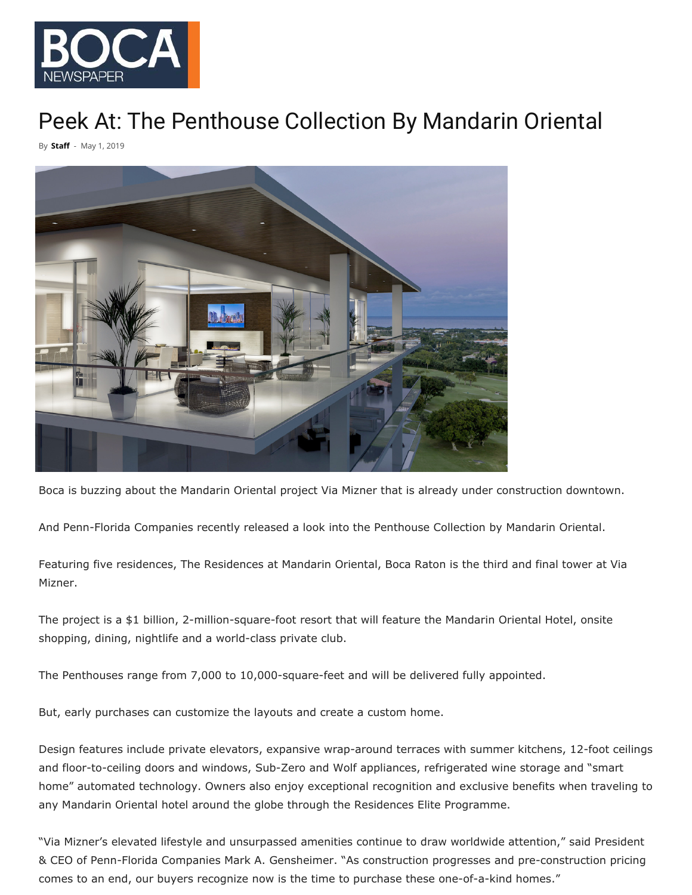

## [Peek At: The Penthouse Collection By Mandarin](http://bocanewspaper.com/wp-content/uploads/2019/05/penthouse.jpeg) Oriental

By **[Sta](http://bocanewspaper.com/author/boca-newspaper)ff** - May 1, 2019



Boca is buzzing about the Mandarin Oriental project Via Mizner that is already under construction downtown.

And Penn-Florida Companies recently released a look into the Penthouse Collection by Mandarin Oriental.

Featuring five residences, The Residences at Mandarin Oriental, Boca Raton is the third and final tower at Via Mizner.

The project is a \$1 billion, 2-million-square-foot resort that will feature the Mandarin Oriental Hotel, onsite shopping, dining, nightlife and a world-class private club.

The Penthouses range from 7,000 to 10,000-square-feet and will be delivered fully appointed.

But, early purchases can customize the layouts and create a custom home.

Design features include private elevators, expansive wrap-around terraces with summer kitchens, 12-foot ceilings and floor-to-ceiling doors and windows, Sub-Zero and Wolf appliances, refrigerated wine storage and "smart home" automated technology. Owners also enjoy exceptional recognition and exclusive benefits when traveling to any Mandarin Oriental hotel around the globe through the Residences Elite Programme.

"Via Mizner's elevated lifestyle and unsurpassed amenities continue to draw worldwide attention," said President & CEO of Penn-Florida Companies Mark A. Gensheimer. "As construction progresses and pre-construction pricing comes to an end, our buyers recognize now is the time to purchase these one-of-a-kind homes."